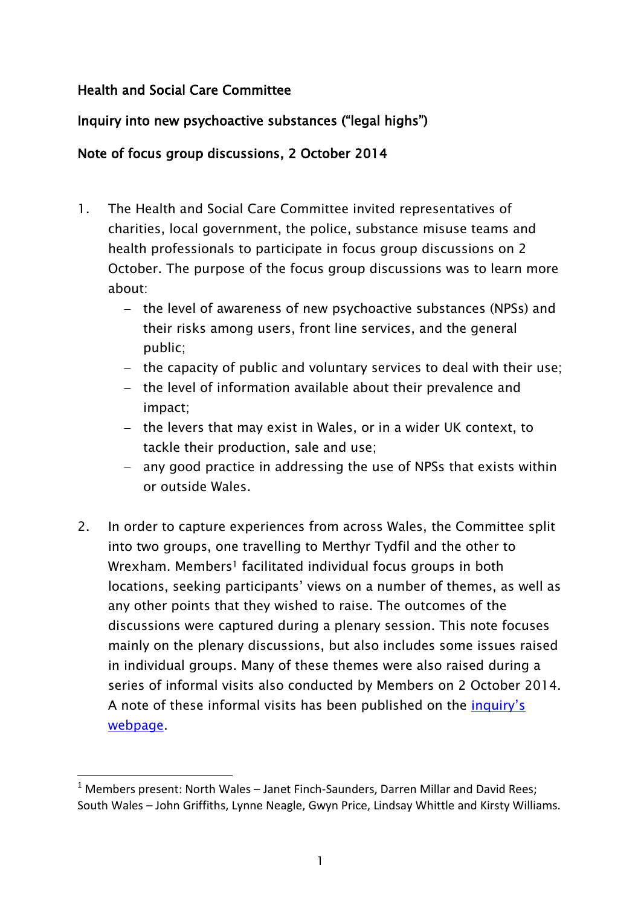## Health and Social Care Committee

1

# Inquiry into new psychoactive substances ("legal highs")

## Note of focus group discussions, 2 October 2014

- 1. The Health and Social Care Committee invited representatives of charities, local government, the police, substance misuse teams and health professionals to participate in focus group discussions on 2 October. The purpose of the focus group discussions was to learn more about:
	- the level of awareness of new psychoactive substances (NPSs) and their risks among users, front line services, and the general public;
	- $-$  the capacity of public and voluntary services to deal with their use;
	- the level of information available about their prevalence and impact;
	- $-$  the levers that may exist in Wales, or in a wider UK context, to tackle their production, sale and use;
	- any good practice in addressing the use of NPSs that exists within or outside Wales.
- 2. In order to capture experiences from across Wales, the Committee split into two groups, one travelling to Merthyr Tydfil and the other to Wrexham. Members<sup>1</sup> facilitated individual focus groups in both locations, seeking participants' views on a number of themes, as well as any other points that they wished to raise. The outcomes of the discussions were captured during a plenary session. This note focuses mainly on the plenary discussions, but also includes some issues raised in individual groups. Many of these themes were also raised during a series of informal visits also conducted by Members on 2 October 2014. A note of these informal visits has been published on the [inquiry"s](http://www.senedd.assemblywales.org/mgIssueHistoryHome.aspx?IId=10562)  [webpage.](http://www.senedd.assemblywales.org/mgIssueHistoryHome.aspx?IId=10562)

 $1$  Members present: North Wales – Janet Finch-Saunders, Darren Millar and David Rees; South Wales – John Griffiths, Lynne Neagle, Gwyn Price, Lindsay Whittle and Kirsty Williams.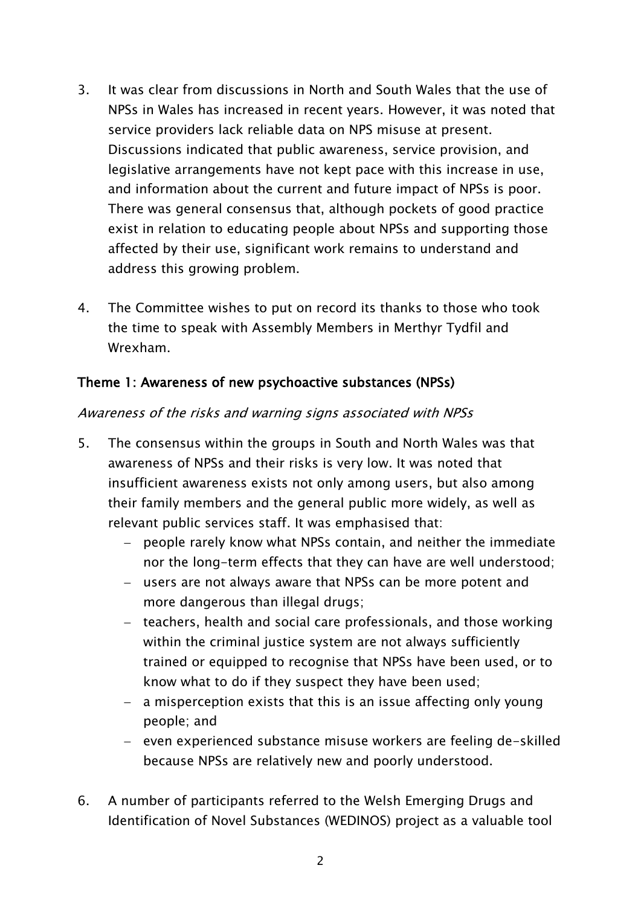- 3. It was clear from discussions in North and South Wales that the use of NPSs in Wales has increased in recent years. However, it was noted that service providers lack reliable data on NPS misuse at present. Discussions indicated that public awareness, service provision, and legislative arrangements have not kept pace with this increase in use, and information about the current and future impact of NPSs is poor. There was general consensus that, although pockets of good practice exist in relation to educating people about NPSs and supporting those affected by their use, significant work remains to understand and address this growing problem.
- 4. The Committee wishes to put on record its thanks to those who took the time to speak with Assembly Members in Merthyr Tydfil and Wrexham.

## Theme 1: Awareness of new psychoactive substances (NPSs)

## Awareness of the risks and warning signs associated with NPSs

- 5. The consensus within the groups in South and North Wales was that awareness of NPSs and their risks is very low. It was noted that insufficient awareness exists not only among users, but also among their family members and the general public more widely, as well as relevant public services staff. It was emphasised that:
	- people rarely know what NPSs contain, and neither the immediate nor the long-term effects that they can have are well understood;
	- users are not always aware that NPSs can be more potent and more dangerous than illegal drugs;
	- teachers, health and social care professionals, and those working within the criminal justice system are not always sufficiently trained or equipped to recognise that NPSs have been used, or to know what to do if they suspect they have been used;
	- a misperception exists that this is an issue affecting only young people; and
	- even experienced substance misuse workers are feeling de-skilled because NPSs are relatively new and poorly understood.
- 6. A number of participants referred to the Welsh Emerging Drugs and Identification of Novel Substances (WEDINOS) project as a valuable tool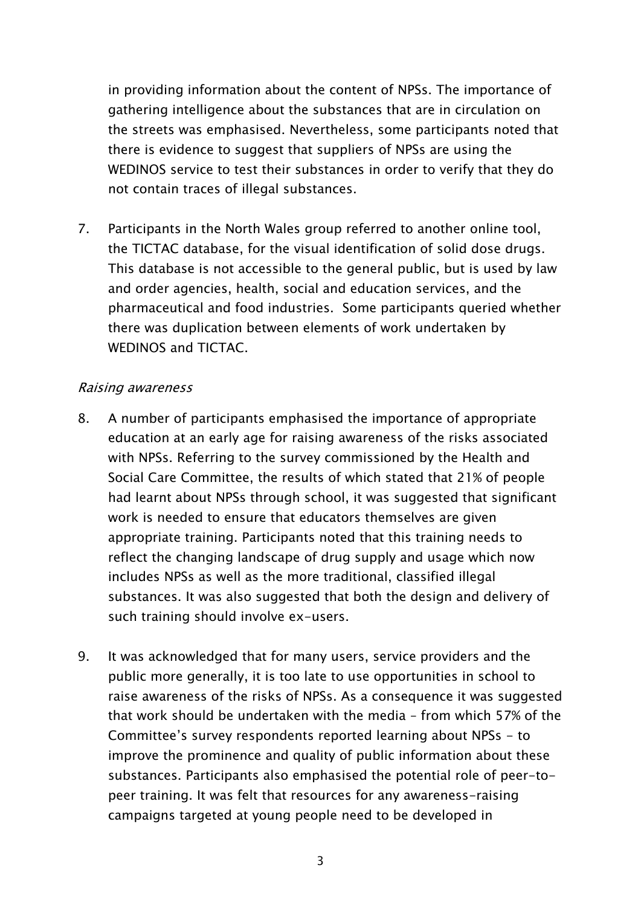in providing information about the content of NPSs. The importance of gathering intelligence about the substances that are in circulation on the streets was emphasised. Nevertheless, some participants noted that there is evidence to suggest that suppliers of NPSs are using the WEDINOS service to test their substances in order to verify that they do not contain traces of illegal substances.

7. Participants in the North Wales group referred to another online tool, the TICTAC database, for the visual identification of solid dose drugs. This database is not accessible to the general public, but is used by law and order agencies, health, social and education services, and the pharmaceutical and food industries. Some participants queried whether there was duplication between elements of work undertaken by WEDINOS and TICTAC.

### Raising awareness

- 8. A number of participants emphasised the importance of appropriate education at an early age for raising awareness of the risks associated with NPSs. Referring to the survey commissioned by the Health and Social Care Committee, the results of which stated that 21% of people had learnt about NPSs through school, it was suggested that significant work is needed to ensure that educators themselves are given appropriate training. Participants noted that this training needs to reflect the changing landscape of drug supply and usage which now includes NPSs as well as the more traditional, classified illegal substances. It was also suggested that both the design and delivery of such training should involve ex-users.
- 9. It was acknowledged that for many users, service providers and the public more generally, it is too late to use opportunities in school to raise awareness of the risks of NPSs. As a consequence it was suggested that work should be undertaken with the media – from which 57% of the Committee"s survey respondents reported learning about NPSs - to improve the prominence and quality of public information about these substances. Participants also emphasised the potential role of peer-topeer training. It was felt that resources for any awareness-raising campaigns targeted at young people need to be developed in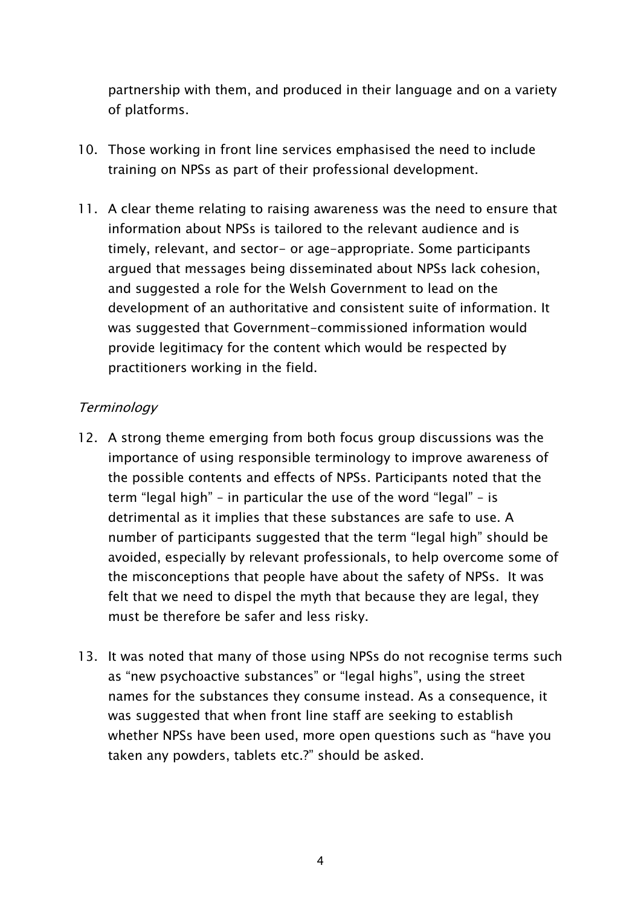partnership with them, and produced in their language and on a variety of platforms.

- 10. Those working in front line services emphasised the need to include training on NPSs as part of their professional development.
- 11. A clear theme relating to raising awareness was the need to ensure that information about NPSs is tailored to the relevant audience and is timely, relevant, and sector- or age-appropriate. Some participants argued that messages being disseminated about NPSs lack cohesion, and suggested a role for the Welsh Government to lead on the development of an authoritative and consistent suite of information. It was suggested that Government-commissioned information would provide legitimacy for the content which would be respected by practitioners working in the field.

## **Terminology**

- 12. A strong theme emerging from both focus group discussions was the importance of using responsible terminology to improve awareness of the possible contents and effects of NPSs. Participants noted that the term "legal high" – in particular the use of the word "legal" – is detrimental as it implies that these substances are safe to use. A number of participants suggested that the term "legal high" should be avoided, especially by relevant professionals, to help overcome some of the misconceptions that people have about the safety of NPSs. It was felt that we need to dispel the myth that because they are legal, they must be therefore be safer and less risky.
- 13. It was noted that many of those using NPSs do not recognise terms such as "new psychoactive substances" or "legal highs", using the street names for the substances they consume instead. As a consequence, it was suggested that when front line staff are seeking to establish whether NPSs have been used, more open questions such as "have you taken any powders, tablets etc.?" should be asked.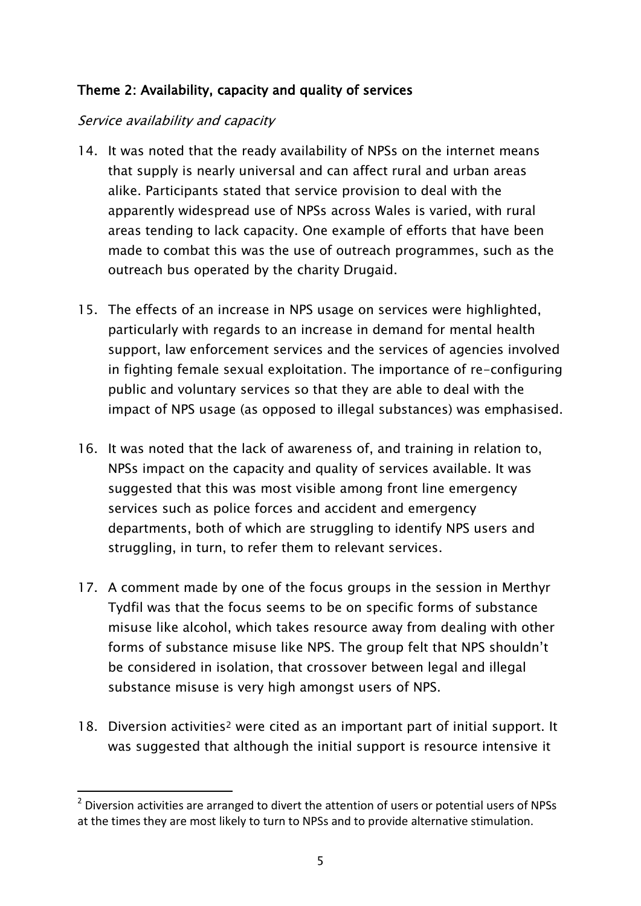# Theme 2: Availability, capacity and quality of services

## Service availability and capacity

1

- 14. It was noted that the ready availability of NPSs on the internet means that supply is nearly universal and can affect rural and urban areas alike. Participants stated that service provision to deal with the apparently widespread use of NPSs across Wales is varied, with rural areas tending to lack capacity. One example of efforts that have been made to combat this was the use of outreach programmes, such as the outreach bus operated by the charity Drugaid.
- 15. The effects of an increase in NPS usage on services were highlighted, particularly with regards to an increase in demand for mental health support, law enforcement services and the services of agencies involved in fighting female sexual exploitation. The importance of re-configuring public and voluntary services so that they are able to deal with the impact of NPS usage (as opposed to illegal substances) was emphasised.
- 16. It was noted that the lack of awareness of, and training in relation to, NPSs impact on the capacity and quality of services available. It was suggested that this was most visible among front line emergency services such as police forces and accident and emergency departments, both of which are struggling to identify NPS users and struggling, in turn, to refer them to relevant services.
- 17. A comment made by one of the focus groups in the session in Merthyr Tydfil was that the focus seems to be on specific forms of substance misuse like alcohol, which takes resource away from dealing with other forms of substance misuse like NPS. The group felt that NPS shouldn"t be considered in isolation, that crossover between legal and illegal substance misuse is very high amongst users of NPS.
- 18. Diversion activities<sup>2</sup> were cited as an important part of initial support. It was suggested that although the initial support is resource intensive it

 $2$  Diversion activities are arranged to divert the attention of users or potential users of NPSs at the times they are most likely to turn to NPSs and to provide alternative stimulation.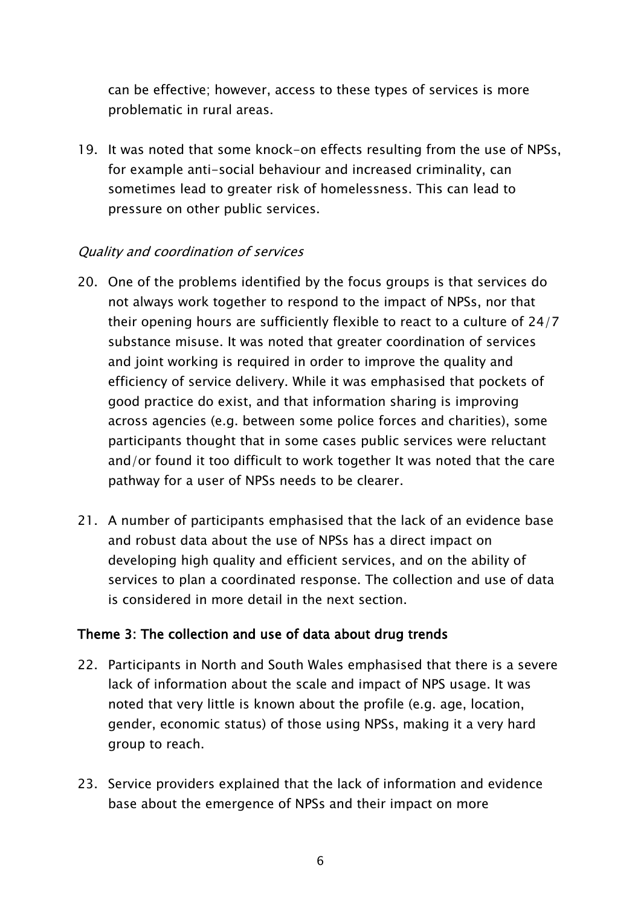can be effective; however, access to these types of services is more problematic in rural areas.

19. It was noted that some knock-on effects resulting from the use of NPSs, for example anti-social behaviour and increased criminality, can sometimes lead to greater risk of homelessness. This can lead to pressure on other public services.

# Quality and coordination of services

- 20. One of the problems identified by the focus groups is that services do not always work together to respond to the impact of NPSs, nor that their opening hours are sufficiently flexible to react to a culture of 24/7 substance misuse. It was noted that greater coordination of services and joint working is required in order to improve the quality and efficiency of service delivery. While it was emphasised that pockets of good practice do exist, and that information sharing is improving across agencies (e.g. between some police forces and charities), some participants thought that in some cases public services were reluctant and/or found it too difficult to work together It was noted that the care pathway for a user of NPSs needs to be clearer.
- 21. A number of participants emphasised that the lack of an evidence base and robust data about the use of NPSs has a direct impact on developing high quality and efficient services, and on the ability of services to plan a coordinated response. The collection and use of data is considered in more detail in the next section.

# Theme 3: The collection and use of data about drug trends

- 22. Participants in North and South Wales emphasised that there is a severe lack of information about the scale and impact of NPS usage. It was noted that very little is known about the profile (e.g. age, location, gender, economic status) of those using NPSs, making it a very hard group to reach.
- 23. Service providers explained that the lack of information and evidence base about the emergence of NPSs and their impact on more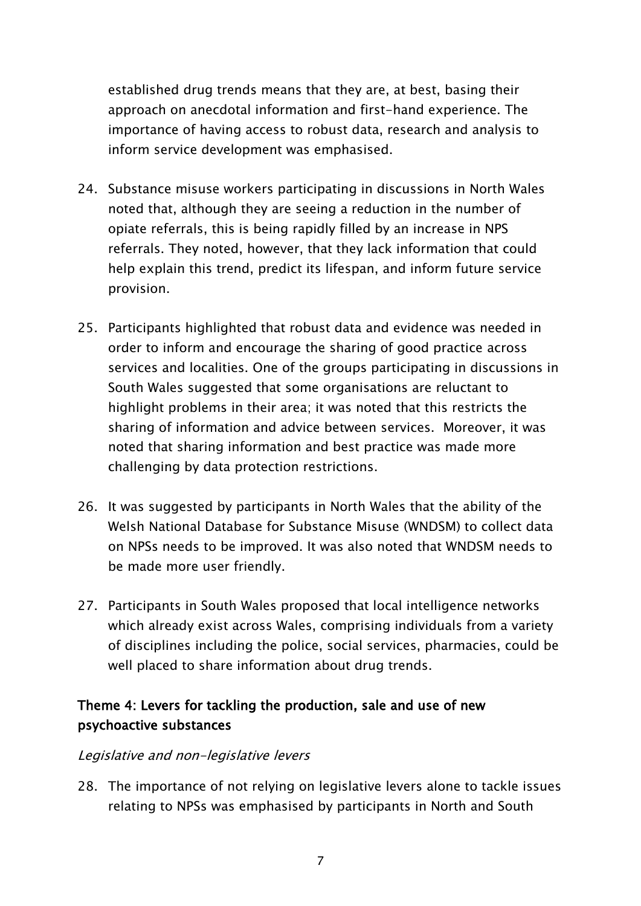established drug trends means that they are, at best, basing their approach on anecdotal information and first-hand experience. The importance of having access to robust data, research and analysis to inform service development was emphasised.

- 24. Substance misuse workers participating in discussions in North Wales noted that, although they are seeing a reduction in the number of opiate referrals, this is being rapidly filled by an increase in NPS referrals. They noted, however, that they lack information that could help explain this trend, predict its lifespan, and inform future service provision.
- 25. Participants highlighted that robust data and evidence was needed in order to inform and encourage the sharing of good practice across services and localities. One of the groups participating in discussions in South Wales suggested that some organisations are reluctant to highlight problems in their area; it was noted that this restricts the sharing of information and advice between services. Moreover, it was noted that sharing information and best practice was made more challenging by data protection restrictions.
- 26. It was suggested by participants in North Wales that the ability of the Welsh National Database for Substance Misuse (WNDSM) to collect data on NPSs needs to be improved. It was also noted that WNDSM needs to be made more user friendly.
- 27. Participants in South Wales proposed that local intelligence networks which already exist across Wales, comprising individuals from a variety of disciplines including the police, social services, pharmacies, could be well placed to share information about drug trends.

# Theme 4: Levers for tackling the production, sale and use of new psychoactive substances

#### Legislative and non-legislative levers

28. The importance of not relying on legislative levers alone to tackle issues relating to NPSs was emphasised by participants in North and South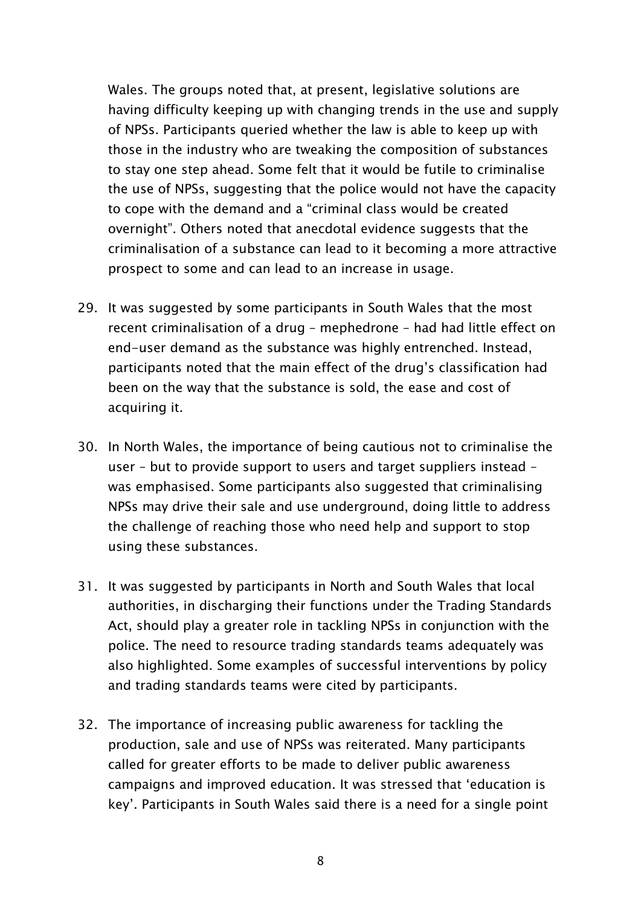Wales. The groups noted that, at present, legislative solutions are having difficulty keeping up with changing trends in the use and supply of NPSs. Participants queried whether the law is able to keep up with those in the industry who are tweaking the composition of substances to stay one step ahead. Some felt that it would be futile to criminalise the use of NPSs, suggesting that the police would not have the capacity to cope with the demand and a "criminal class would be created overnight". Others noted that anecdotal evidence suggests that the criminalisation of a substance can lead to it becoming a more attractive prospect to some and can lead to an increase in usage.

- 29. It was suggested by some participants in South Wales that the most recent criminalisation of a drug – mephedrone – had had little effect on end-user demand as the substance was highly entrenched. Instead, participants noted that the main effect of the drug"s classification had been on the way that the substance is sold, the ease and cost of acquiring it.
- 30. In North Wales, the importance of being cautious not to criminalise the user – but to provide support to users and target suppliers instead – was emphasised. Some participants also suggested that criminalising NPSs may drive their sale and use underground, doing little to address the challenge of reaching those who need help and support to stop using these substances.
- 31. It was suggested by participants in North and South Wales that local authorities, in discharging their functions under the Trading Standards Act, should play a greater role in tackling NPSs in conjunction with the police. The need to resource trading standards teams adequately was also highlighted. Some examples of successful interventions by policy and trading standards teams were cited by participants.
- 32. The importance of increasing public awareness for tackling the production, sale and use of NPSs was reiterated. Many participants called for greater efforts to be made to deliver public awareness campaigns and improved education. It was stressed that "education is key". Participants in South Wales said there is a need for a single point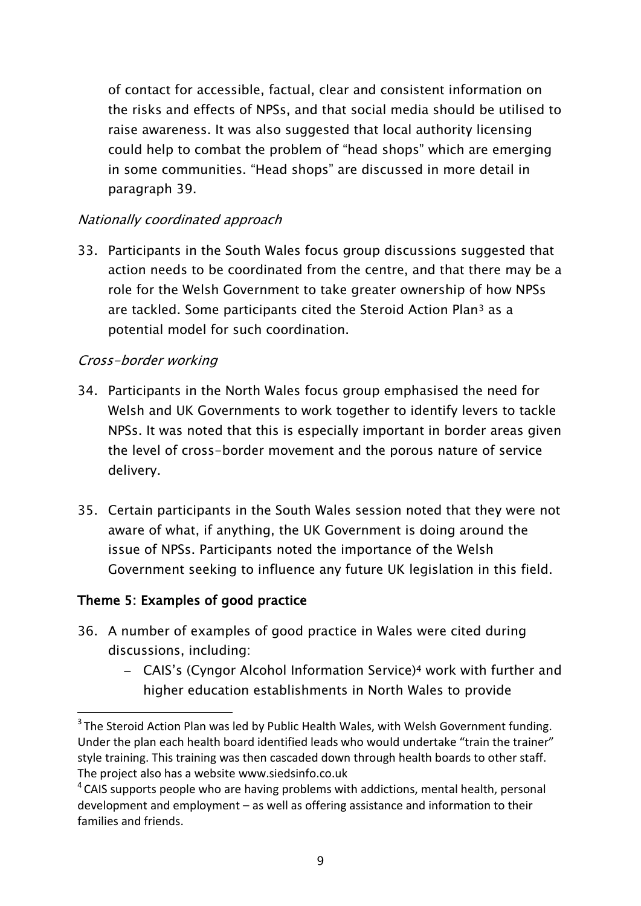of contact for accessible, factual, clear and consistent information on the risks and effects of NPSs, and that social media should be utilised to raise awareness. It was also suggested that local authority licensing could help to combat the problem of "head shops" which are emerging in some communities. "Head shops" are discussed in more detail in paragraph 39.

# Nationally coordinated approach

33. Participants in the South Wales focus group discussions suggested that action needs to be coordinated from the centre, and that there may be a role for the Welsh Government to take greater ownership of how NPSs are tackled. Some participants cited the Steroid Action Plan<sup>3</sup> as a potential model for such coordination.

## Cross-border working

- 34. Participants in the North Wales focus group emphasised the need for Welsh and UK Governments to work together to identify levers to tackle NPSs. It was noted that this is especially important in border areas given the level of cross-border movement and the porous nature of service delivery.
- 35. Certain participants in the South Wales session noted that they were not aware of what, if anything, the UK Government is doing around the issue of NPSs. Participants noted the importance of the Welsh Government seeking to influence any future UK legislation in this field.

# Theme 5: Examples of good practice

**.** 

- 36. A number of examples of good practice in Wales were cited during discussions, including:
	- CAIS"s (Cyngor Alcohol Information Service) <sup>4</sup> work with further and higher education establishments in North Wales to provide

 $3$  The Steroid Action Plan was led by Public Health Wales, with Welsh Government funding. Under the plan each health board identified leads who would undertake "train the trainer" style training. This training was then cascaded down through health boards to other staff. The project also has a website [www.siedsinfo.co.uk](http://www.siedsinfo.co.uk/)

<sup>&</sup>lt;sup>4</sup> CAIS supports people who are having problems with addictions, mental health, personal development and employment – as well as offering assistance and information to their families and friends.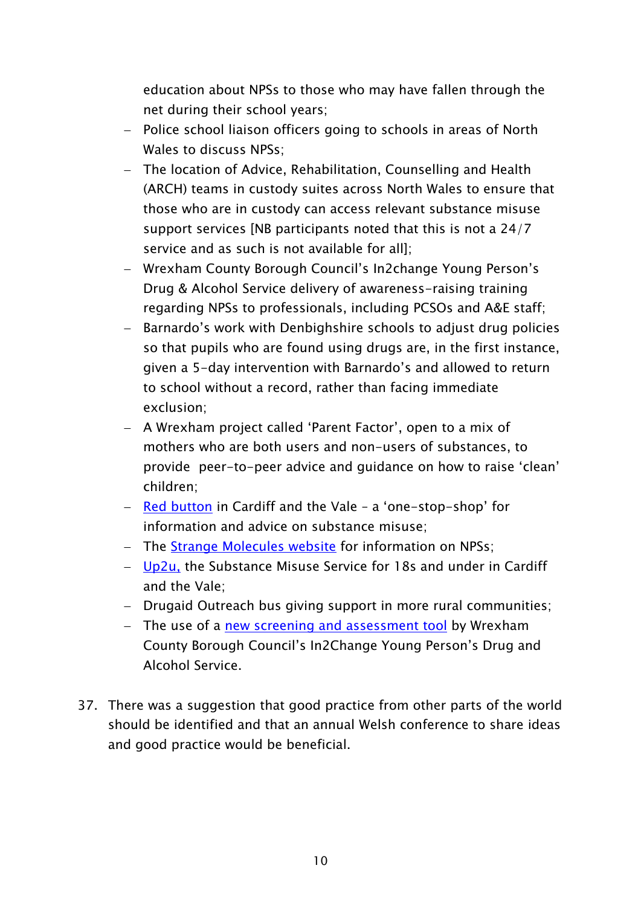education about NPSs to those who may have fallen through the net during their school years;

- Police school liaison officers going to schools in areas of North Wales to discuss NPSs;
- The location of Advice, Rehabilitation, Counselling and Health (ARCH) teams in custody suites across North Wales to ensure that those who are in custody can access relevant substance misuse support services [NB participants noted that this is not a 24/7 service and as such is not available for all];
- Wrexham County Borough Council's In2change Young Person's Drug & Alcohol Service delivery of awareness-raising training regarding NPSs to professionals, including PCSOs and A&E staff;
- Barnardo's work with Denbighshire schools to adjust drug policies so that pupils who are found using drugs are, in the first instance, given a 5-day intervention with Barnardo"s and allowed to return to school without a record, rather than facing immediate exclusion;
- A Wrexham project called 'Parent Factor', open to a mix of mothers who are both users and non-users of substances, to provide peer-to-peer advice and guidance on how to raise "clean" children;
- $-$  [Red button](http://red-button.org/about/) in Cardiff and the Vale  $-$  a 'one-stop-shop' for information and advice on substance misuse;
- The [Strange Molecules website](http://www.strangemolecules.org.uk/) for information on NPSs;
- $-$  [Up2u,](http://red-button.org/up2u/) the Substance Misuse Service for 18s and under in Cardiff and the Vale;
- Drugaid Outreach bus giving support in more rural communities;
- The use of a [new screening and assessment tool](http://www.google.co.uk/url?sa=t&rct=j&q=&esrc=s&frm=1&source=web&cd=1&cad=rja&uact=8&ved=0CCEQFjAA&url=http%3A%2F%2Fwww.kfx.org.uk%2Fresources%2Fnudst.pdf&ei=ZOtIVPGJMLLd7Qa6goHADw&usg=AFQjCNHIO0EzAi0veehSdb--vXC5-R3tvw&sig2=1abo1rIVel3thb5JRmkvyA) by Wrexham County Borough Council"s In2Change Young Person"s Drug and Alcohol Service.
- 37. There was a suggestion that good practice from other parts of the world should be identified and that an annual Welsh conference to share ideas and good practice would be beneficial.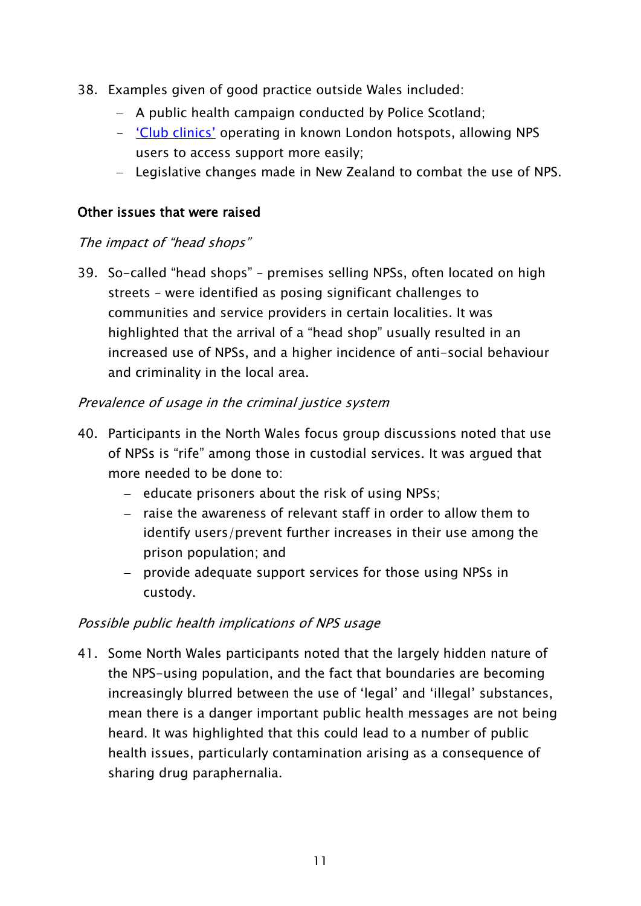- 38. Examples given of good practice outside Wales included:
	- $-$  A public health campaign conducted by Police Scotland;
	- <u>'Club clinics'</u> operating in known London hotspots, allowing NPS users to access support more easily;
	- Legislative changes made in New Zealand to combat the use of NPS.

## Other issues that were raised

### The impact of "head shops"

39. So-called "head shops" – premises selling NPSs, often located on high streets – were identified as posing significant challenges to communities and service providers in certain localities. It was highlighted that the arrival of a "head shop" usually resulted in an increased use of NPSs, and a higher incidence of anti-social behaviour and criminality in the local area.

## Prevalence of usage in the criminal justice system

- 40. Participants in the North Wales focus group discussions noted that use of NPSs is "rife" among those in custodial services. It was argued that more needed to be done to:
	- $-$  educate prisoners about the risk of using NPSs;
	- raise the awareness of relevant staff in order to allow them to identify users/prevent further increases in their use among the prison population; and
	- provide adequate support services for those using NPSs in custody.

## Possible public health implications of NPS usage

41. Some North Wales participants noted that the largely hidden nature of the NPS-using population, and the fact that boundaries are becoming increasingly blurred between the use of "legal" and "illegal" substances, mean there is a danger important public health messages are not being heard. It was highlighted that this could lead to a number of public health issues, particularly contamination arising as a consequence of sharing drug paraphernalia.